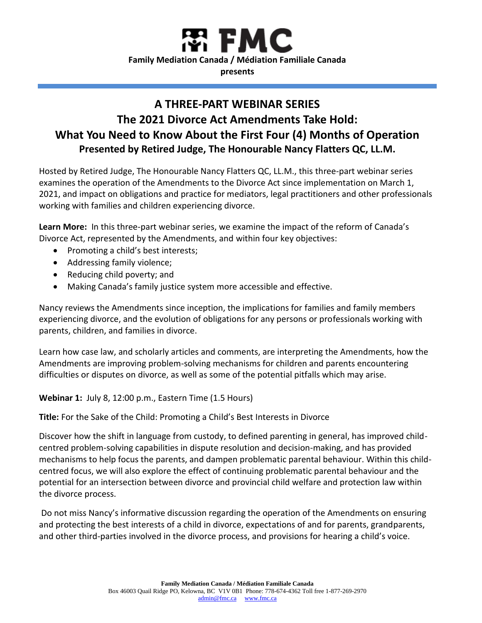

# **A THREE-PART WEBINAR SERIES The 2021 Divorce Act Amendments Take Hold: What You Need to Know About the First Four (4) Months of Operation Presented by Retired Judge, The Honourable Nancy Flatters QC, LL.M.**

Hosted by Retired Judge, The Honourable Nancy Flatters QC, LL.M., this three-part webinar series examines the operation of the Amendments to the Divorce Act since implementation on March 1, 2021, and impact on obligations and practice for mediators, legal practitioners and other professionals working with families and children experiencing divorce.

**Learn More:** In this three-part webinar series, we examine the impact of the reform of Canada's Divorce Act, represented by the Amendments, and within four key objectives:

- Promoting a child's best interests;
- Addressing family violence;
- Reducing child poverty; and
- Making Canada's family justice system more accessible and effective.

Nancy reviews the Amendments since inception, the implications for families and family members experiencing divorce, and the evolution of obligations for any persons or professionals working with parents, children, and families in divorce.

Learn how case law, and scholarly articles and comments, are interpreting the Amendments, how the Amendments are improving problem-solving mechanisms for children and parents encountering difficulties or disputes on divorce, as well as some of the potential pitfalls which may arise.

**Webinar 1:** July 8, 12:00 p.m., Eastern Time (1.5 Hours)

**Title:** For the Sake of the Child: Promoting a Child's Best Interests in Divorce

Discover how the shift in language from custody, to defined parenting in general, has improved childcentred problem-solving capabilities in dispute resolution and decision-making, and has provided mechanisms to help focus the parents, and dampen problematic parental behaviour. Within this childcentred focus, we will also explore the effect of continuing problematic parental behaviour and the potential for an intersection between divorce and provincial child welfare and protection law within the divorce process.

Do not miss Nancy's informative discussion regarding the operation of the Amendments on ensuring and protecting the best interests of a child in divorce, expectations of and for parents, grandparents, and other third-parties involved in the divorce process, and provisions for hearing a child's voice.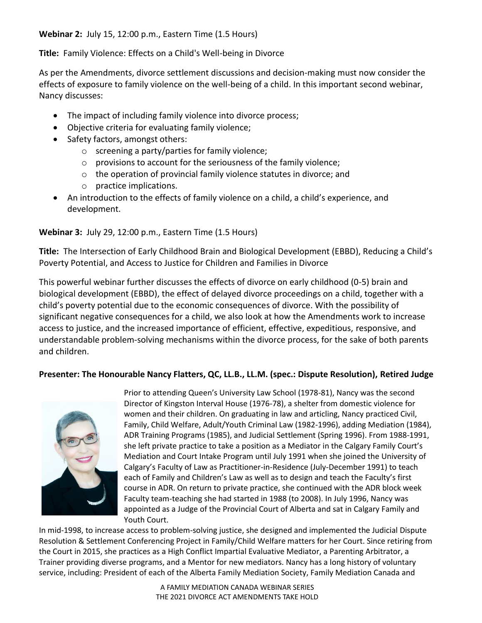**Webinar 2:** July 15, 12:00 p.m., Eastern Time (1.5 Hours)

**Title:** Family Violence: Effects on a Child's Well-being in Divorce

As per the Amendments, divorce settlement discussions and decision-making must now consider the effects of exposure to family violence on the well-being of a child. In this important second webinar, Nancy discusses:

- The impact of including family violence into divorce process;
- Objective criteria for evaluating family violence;
- Safety factors, amongst others:
	- o screening a party/parties for family violence;
	- o provisions to account for the seriousness of the family violence;
	- o the operation of provincial family violence statutes in divorce; and
	- o practice implications.
- An introduction to the effects of family violence on a child, a child's experience, and development.

**Webinar 3:** July 29, 12:00 p.m., Eastern Time (1.5 Hours)

**Title:** The Intersection of Early Childhood Brain and Biological Development (EBBD), Reducing a Child's Poverty Potential, and Access to Justice for Children and Families in Divorce

This powerful webinar further discusses the effects of divorce on early childhood (0-5) brain and biological development (EBBD), the effect of delayed divorce proceedings on a child, together with a child's poverty potential due to the economic consequences of divorce. With the possibility of significant negative consequences for a child, we also look at how the Amendments work to increase access to justice, and the increased importance of efficient, effective, expeditious, responsive, and understandable problem-solving mechanisms within the divorce process, for the sake of both parents and children.

## **Presenter: The Honourable Nancy Flatters, QC, LL.B., LL.M. (spec.: Dispute Resolution), Retired Judge**



Prior to attending Queen's University Law School (1978-81), Nancy was the second Director of Kingston Interval House (1976-78), a shelter from domestic violence for women and their children. On graduating in law and articling, Nancy practiced Civil, Family, Child Welfare, Adult/Youth Criminal Law (1982-1996), adding Mediation (1984), ADR Training Programs (1985), and Judicial Settlement (Spring 1996). From 1988-1991, she left private practice to take a position as a Mediator in the Calgary Family Court's Mediation and Court Intake Program until July 1991 when she joined the University of Calgary's Faculty of Law as Practitioner-in-Residence (July-December 1991) to teach each of Family and Children's Law as well as to design and teach the Faculty's first course in ADR. On return to private practice, she continued with the ADR block week Faculty team-teaching she had started in 1988 (to 2008). In July 1996, Nancy was appointed as a Judge of the Provincial Court of Alberta and sat in Calgary Family and Youth Court.

In mid-1998, to increase access to problem-solving justice, she designed and implemented the Judicial Dispute Resolution & Settlement Conferencing Project in Family/Child Welfare matters for her Court. Since retiring from the Court in 2015, she practices as a High Conflict Impartial Evaluative Mediator, a Parenting Arbitrator, a Trainer providing diverse programs, and a Mentor for new mediators. Nancy has a long history of voluntary service, including: President of each of the Alberta Family Mediation Society, Family Mediation Canada and